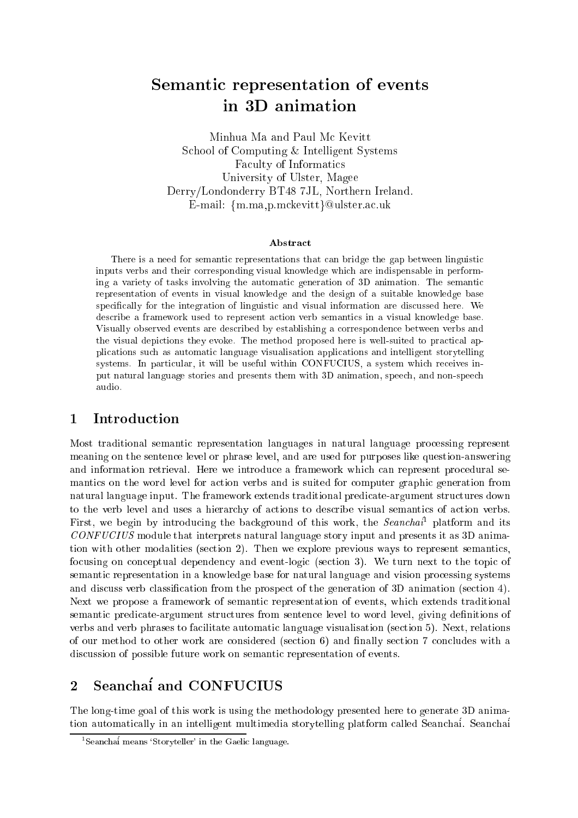# Semantic representation of events in 3D animation

social is to compute the Intelligent Systems <u>- … … … … … … … … … … …</u> University of Ulster, Magee Derry/Londonderry BT48 7JL, Northern Ireland. E-mail: fm.ma,p.m
kevittgulster.a
.uk

### **Abstract**

There is a need for semantic representations that can bridge the gap between linguistic inputs verbs and their orresponding visual knowledge whi
h are indispensable in performing a variety of tasks involving the automati generation of 3D animation. The semanti representation of events in visual knowledge and the design of a suitable knowledge base specifically for the integration of linguistic and visual information are discussed here. We describe a framework used to represent action verb semantics in a visual knowledge base. Visually observed events are des
ribed by establishing a orresponden
e between verbs and the visual depictions they evoke. The method proposed here is well-suited to practical applications such as automatic language visualisation applications and intelligent storytelling systems. In particular, it will be useful within CONFUCIUS, a system which receives input natural language stories and presents them with 3D animation, spee
h, and non-spee
h audio.

### 1 Introduction

Most traditional semantic representation languages in natural language processing represent meaning on the senten
e level or phrase level, and are used for purposes like question-answering and information retrieval. Here we introdu
e a framework whi
h an represent pro
edural semantics on the word level for action verbs and is suited for computer graphic generation from natural language input. The framework extends traditional predi
ate-argument stru
tures down to the verb level and uses a hierarchy of actions to describe visual semantics of action verbs.  $\bf r$  ifst, we begin by introducing the background of this work, the  $\it{Seancn}$  platform and its CONFUCIUS module that interprets natural language story input and presents it as 3D animation with other modalities (section 2). Then we explore previous ways to represent semantics, focusing on conceptual dependency and event-logic (section 3). We turn next to the topic of semantic representation in a knowledge base for natural language and vision processing systems and discuss verb classification from the prospect of the generation of 3D animation (section 4). Next we propose a framework of semantic representation of events, which extends traditional semantic predicate-argument structures from sentence level to word level, giving definitions of verbs and verb phrases to facilitate automatic language visualisation (section 5). Next, relations of our method to other work are considered (section 6) and finally section 7 concludes with a discussion of possible future work on semantic representation of events.

## 2 Seanchai and CONFUCIUS

The long-time goal of this work is using the methodology presented here to generate 3D animation automatically in an intelligent multimedia storytelling platform called Seanchai. Seanchai

<sup>1</sup> Sean
hai means `Storyteller' in the Gaeli language.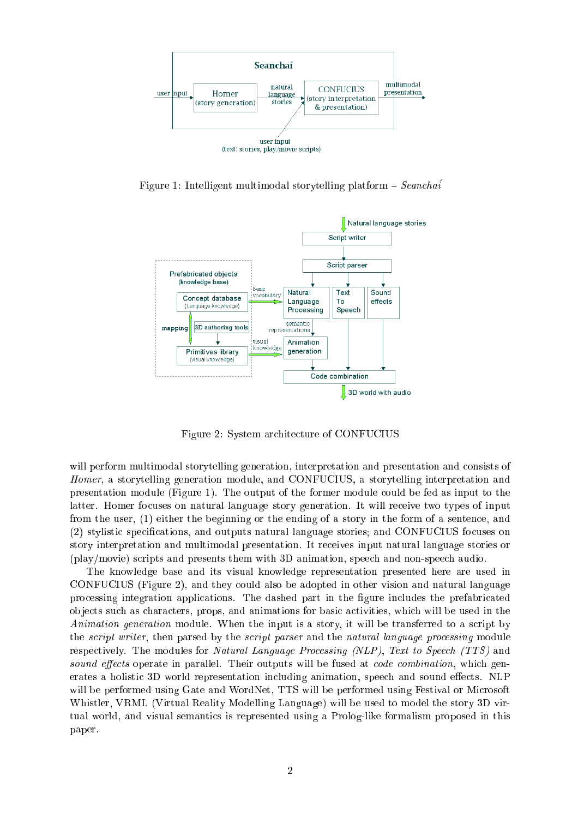

Figure 1: Intelligent multimodal storytelling platform  $-$  Seanchai



Figure 2: System architecture of CONFUCIUS

will perform multimodal storytelling generation, interpretation and presentation and consists of Homer, a storytelling generation module, and CONFUCIUS, a storytelling interpretation and presentation module (Figure 1). The output of the former module ould be fed as input to the latter. Homer focuses on natural language story generation. It will receive two types of input from the user, (1) either the beginning or the ending of a story in the form of a sentence, and (2) stylistic specifications, and outputs natural language stories; and CONFUCIUS focuses on story interpretation and multimodal presentation. It re
eives input natural language stories or (play/movie) s
ripts and presents them with 3D animation, spee
h and non-spee
h audio.

The knowledge base and its visual knowledge representation presented here are used in CONFUCIUS (Figure 2), and they ould also be adopted in other vision and natural language pro
essing integration appli
ations. The dashed part in the gure in
ludes the prefabri
ated objects such as characters, props, and animations for basic activities, which will be used in the Animation generation module. When the input is a story, it will be transferred to a script by the *script writer*, then parsed by the *script parser* and the *natural language processing* module respectively. The modules for *Natural Language Processing (NLP)*, Text to Speech (TTS) and sound effects operate in parallel. Their outputs will be fused at code combination, which generates a holistic 3D world representation including animation, speech and sound effects. NLP will be performed using Gate and WordNet. TTS will be performed using Festival or Microsoft Whistler, VRML (Virtual Reality Modelling Language) will be used to model the story 3D virtual world, and visual semantics is represented using a Prolog-like formalism proposed in this paper.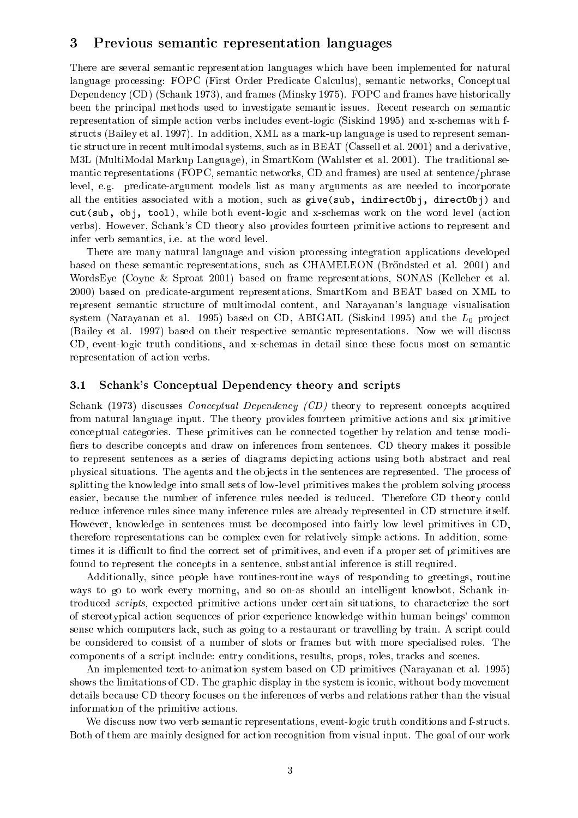#### 3Previous semantic representation languages

There are several semantic representation languages which have been implemented for natural language processing: FOPC (First Order Predicate Calculus), semantic networks, Conceptual Dependency (CD) (Schank 1973), and frames (Minsky 1975). FOPC and frames have historically been the principal methods used to investigate semantic issues. Recent research on semantic representation of simple action verbs includes event-logic (Siskind 1995) and x-schemas with fstru
ts (Bailey et al. 1997). In addition, XML as a mark-up language is used to represent semantic structure in recent multimodal systems, such as in BEAT (Cassell et al. 2001) and a derivative, M3L (MultiModal Markup Language), in SmartKom (Wahlster et al. 2001). The traditional semantic representations (FOPC, semantic networks, CD and frames) are used at sentence/phrase level, e.g. predicate-argument models list as many arguments as are needed to incorporate all the entities associated with a motion, such as give (sub, indirectObj, directObj) and cut(sub, obj, tool), while both event-logic and x-schemas work on the word level (action verbs). However, S
hank's CD theory also provides fourteen primitive a
tions to represent and infer verb semanti
s, i.e. at the word level.

There are many natural language and vision pro
essing integration appli
ations developed based on these semantic representations, such as CHAMELEON (Bröndsted et al. 2001) and WordsEye (Coyne & Sproat 2001) based on frame representations, SONAS (Kelleher et al. 2000) based on predi
ate-argument representations, SmartKom and BEAT based on XML to represent semantic structure of multimodal content, and Narayanan's language visualisation system (Narayanan et al. 1995) based on CD, ABIGAIL (Siskind 1995) and the  $L_0$  project (Bailey et al. 1997) based on their respective semantic representations. Now we will discuss CD, event-logic truth conditions, and x-schemas in detail since these focus most on semantic representation of action verbs.

#### 3.1Schank's Conceptual Dependency theory and scripts

Schank (1973) discusses *Conceptual Dependency (CD)* theory to represent concepts acquired from natural language input. The theory provides fourteen primitive actions and six primitive on
eptual ategories. These primitives an be onne
ted together by relation and tense modi fiers to describe concepts and draw on inferences from sentences. CD theory makes it possible to represent senten
es as a series of diagrams depi
ting a
tions using both abstra
t and real physical situations. The agents and the objects in the sentences are represented. The process of splitting the knowledge into small sets of low-level primitives makes the problem solving process easier, because the number of inference rules needed is reduced. Therefore CD theory could reduce inference rules since many inference rules are already represented in CD structure itself. However, knowledge in senten
es must be de
omposed into fairly low level primitives in CD, therefore representations an be omplex even for relatively simple a
tions. In addition, sometimes it is difficult to find the correct set of primitives, and even if a proper set of primitives are found to represent the concepts in a sentence, substantial inference is still required.

Additionally, sin
e people have routines-routine ways of responding to greetings, routine ways to go to work every morning, and so on-as should an intelligent knowbot. Schank introduced *scripts*, expected primitive actions under certain situations, to characterize the sort of stereotypi
al a
tion sequen
es of prior experien
e knowledge within human beings' ommon sense which computers lack, such as going to a restaurant or travelling by train. A script could be onsidered to onsist of a number of slots or frames but with more spe
ialised roles. The omponents of a s
ript in
lude: entry onditions, results, props, roles, tra
ks and s
enes.

An implemented text-to-animation system based on CD primitives (Narayanan et al. 1995) shows the limitations of CD. The graphic display in the system is iconic, without body movement details be
ause CD theory fo
uses on the inferen
es of verbs and relations rather than the visual information of the primitive a
tions.

We discuss now two verb semantic representations, event-logic truth conditions and f-structs. Both of them are mainly designed for a
tion re
ognition from visual input. The goal of our work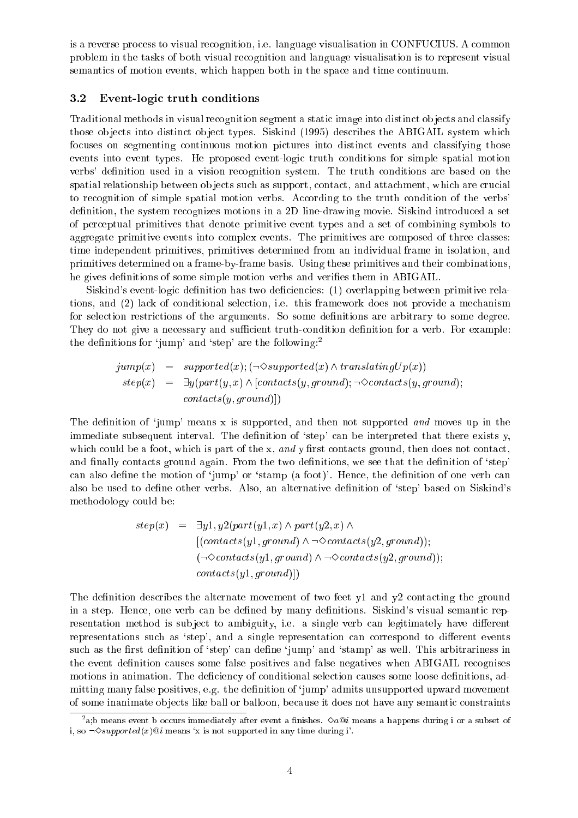is a reverse pro
ess to visual re
ognition, i.e. language visualisation in CONFUCIUS. A ommon problem in the tasks of both visual re
ognition and language visualisation is to represent visual semantics of motion events, which happen both in the space and time continuum.

#### 3.2Event-logic truth conditions

Traditional methods in visual recognition segment a static image into distinct objects and classify those objects into distinct object types. Siskind (1995) describes the ABIGAIL system which focuses on segmenting continuous motion pictures into distinct events and classifying those events into event types. He proposed event-logic truth conditions for simple spatial motion verbs' definition used in a vision recognition system. The truth conditions are based on the spatial relationship between objects such as support, contact, and attachment, which are crucial to recognition of simple spatial motion verbs. According to the truth condition of the verbs' definition, the system recognizes motions in a 2D line-drawing movie. Siskind introduced a set of per
eptual primitives that denote primitive event types and a set of ombining symbols to aggregate primitive events into omplex events. The primitives are omposed of three lasses: time independent primitives, primitives determined from an individual frame in isolation, and primitives determined on a frame-by-frame basis. Using these primitives and their ombinations, he gives definitions of some simple motion verbs and verifies them in ABIGAIL.

Siskind's event-logic definition has two deficiencies: (1) overlapping between primitive relations, and (2) lack of conditional selection, i.e. this framework does not provide a mechanism for selection restrictions of the arguments. So some definitions are arbitrary to some degree. They do not give a necessary and sufficient truth-condition definition for a verb. For example: the definitions for 'jump' and 'step' are the following:<sup>2</sup>

$$
jump(x) = supported(x); (\neg \Diamond supported(x) \land translationgUp(x))
$$
  
\n
$$
step(x) = \exists y (part(y, x) \land [constants(y, ground); \neg \Diamond contacts(y, ground);
$$
  
\n
$$
contains(y, ground)])
$$

The definition of 'jump' means x is supported, and then not supported and moves up in the immediate subsequent interval. The definition of 'step' can be interpreted that there exists y, which could be a foot, which is part of the x, and y first contacts ground, then does not contact, and finally contacts ground again. From the two definitions, we see that the definition of 'step' can also define the motion of 'jump' or 'stamp (a foot)'. Hence, the definition of one verb can also be used to define other verbs. Also, an alternative definition of 'step' based on Siskind's methodology ould be:

$$
step(x) = \exists y1, y2(part(y1, x) \land part(y2, x) \land
$$
  
[(contacts(y1, ground) \land \neg \Diamond contacts(y2, ground));  
( $\neg \Diamond contacts(y1, ground) \land \neg \Diamond contacts(y2, ground));$   
contacts(y1, ground)])

The definition describes the alternate movement of two feet y1 and y2 contacting the ground in a step. Hence, one verb can be defined by many definitions. Siskind's visual semantic representation method is subject to ambiguity, i.e. a single verb can legitimately have different representations such as 'step', and a single representation can correspond to different events such as the first definition of 'step' can define 'jump' and 'stamp' as well. This arbitrariness in the event definition causes some false positives and false negatives when ABIGAIL recognises motions in animation. The deficiency of conditional selection causes some loose definitions, admitting many false positives, e.g. the definition of 'jump' admits unsupported upward movement of some inanimate objects like ball or balloon, because it does not have any semantic constraints

a;b means event b occurs immediately after event a finishes.  $\lor a \unlhd i$  means a happens during 1 or a subset of i, so  $\neg \Diamond supported(x)@i$  means 'x is not supported in any time during i'.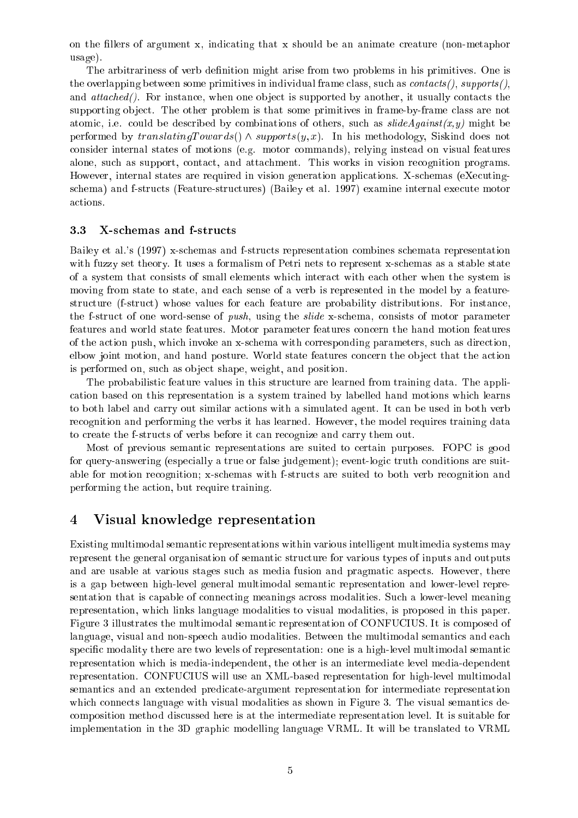on the fillers of argument x, indicating that x should be an animate creature (non-metaphor usage).

The arbitrariness of verb definition might arise from two problems in his primitives. One is the overlapping between some primitives in individual frame class, such as  $contents(), supports(),$ and  $attached()$ . For instance, when one object is supported by another, it usually contacts the supporting object. The other problem is that some primitives in frame-by-frame class are not atomic, i.e. could be described by combinations of others, such as  $slide \, Against(x, y)$  might be performed by translatingTowards()  $\land$  supports(y, x). In his methodology, Siskind does not onsider internal states of motions (e.g. motor ommands), relying instead on visual features alone, su
h as support, onta
t, and atta
hment. This works in vision re
ognition programs. However, internal states are required in vision generation applications. X-schemas (eXecutingschema) and f-structs (Feature-structures) (Bailey et al. 1997) examine internal execute motor a
tions.

#### 3.3 X-s
hemas and f-stru
ts

Bailey et al.'s (1997) x-schemas and f-structs representation combines schemata representation with fuzzy set theory. It uses a formalism of Petri nets to represent x-schemas as a stable state of a system that consists of small elements which interact with each other when the system is moving from state to state, and each sense of a verb is represented in the model by a featurestructure (f-struct) whose values for each feature are probability distributions. For instance, the f-struct of one word-sense of *push*, using the *slide* x-schema, consists of motor parameter features and world state features. Motor parameter features on
ern the hand motion features of the action push, which invoke an x-schema with corresponding parameters, such as direction, elbow joint motion, and hand posture. World state features concern the object that the action is performed on, such as object shape, weight, and position.

The probabilistic feature values in this structure are learned from training data. The appliation based on this representation is a system trained by labelled hand motions whi
h learns to both label and carry out similar actions with a simulated agent. It can be used in both verb re
ognition and performing the verbs it has learned. However, the model requires training data to create the f-structs of verbs before it can recognize and carry them out.

Most of previous semantic representations are suited to certain purposes. FOPC is good for query-answering (especially a true or false judgement); event-logic truth conditions are suitable for motion recognition; x-schemas with f-structs are suited to both verb recognition and performing the a
tion, but require training.

#### 4Visual knowledge representation

Existing multimodal semantic representations within various intelligent multimedia systems may represent the general organisation of semantic structure for various types of inputs and outputs and are usable at various stages such as media fusion and pragmatic aspects. However, there is a gap between high-level general multimodal semantic representation and lower-level representation that is capable of connecting meanings across modalities. Such a lower-level meaning representation, whi
h links language modalities to visual modalities, is proposed in this paper. Figure 3 illustrates the multimodal semantic representation of CONFUCIUS. It is composed of language, visual and non-speech audio modalities. Between the multimodal semantics and each specific modality there are two levels of representation: one is a high-level multimodal semantic representation whi
h is media-independent, the other is an intermediate level media-dependent representation. CONFUCIUS will use an XML-based representation for high-level multimodal semanti
s and an extended predi
ate-argument representation for intermediate representation which connects language with visual modalities as shown in Figure 3. The visual semantics deomposition method dis
ussed here is at the intermediate representation level. It is suitable for implementation in the 3D graphi modelling language VRML. It will be translated to VRML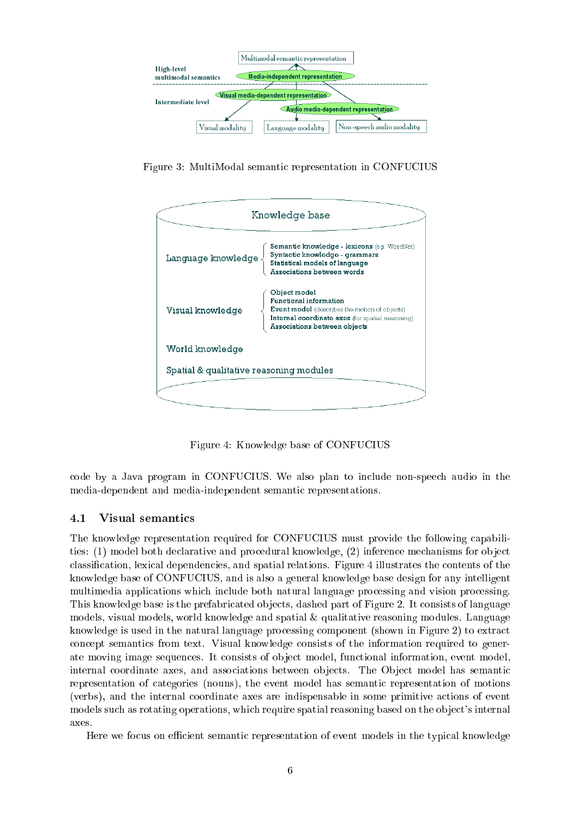

Figure 3: MultiModal semantic representation in CONFUCIUS



Figure 4: Knowledge base of CONFUCIUS

ode by a Java program in CONFUCIUS. We also plan to in
lude non-spee
h audio in the media-dependent and media-independent semantic representations.

#### 4.1Visual semanti
s

The knowledge representation required for CONFUCIUS must provide the following apabilities: (1) model both declarative and procedural knowledge, (2) inference mechanisms for object classification, lexical dependencies, and spatial relations. Figure 4 illustrates the contents of the knowledge base of CONFUCIUS, and is also a general knowledge base design for any intelligent multimedia applications which include both natural language processing and vision processing. This knowledge base is the prefabricated objects, dashed part of Figure 2. It consists of language models, visual models, world knowledge and spatial  $\&$  qualitative reasoning modules. Language knowledge is used in the natural language processing component (shown in Figure 2) to extract on
ept semanti
s from text. Visual knowledge onsists of the information required to generate moving image sequences. It consists of object model, functional information, event model, internal coordinate axes, and associations between objects. The Object model has semantic representation of ategories (nouns), the event model has semanti representation of motions (verbs), and the internal oordinate axes are indispensable in some primitive a
tions of event models such as rotating operations, which require spatial reasoning based on the object's internal axes.

Here we focus on efficient semantic representation of event models in the typical knowledge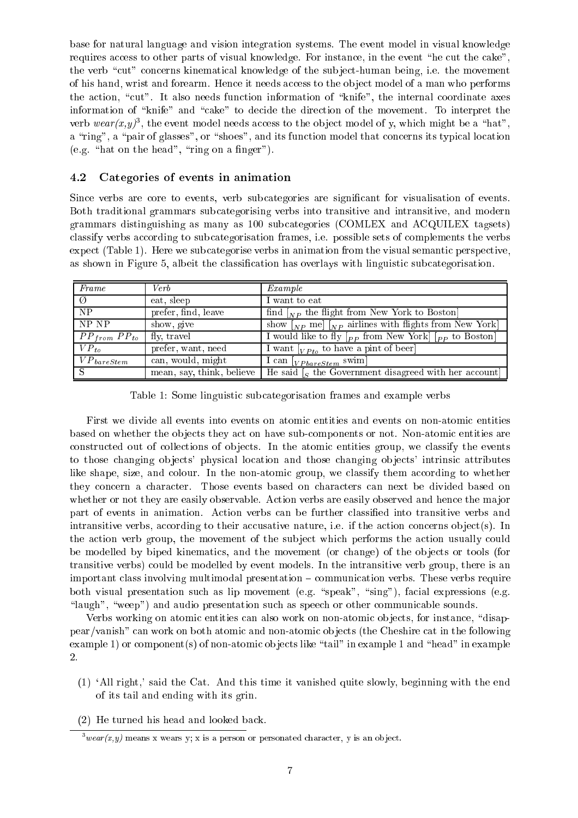base for natural language and vision integration systems. The event model in visual knowledge requires access to other parts of visual knowledge. For instance, in the event "he cut the cake", the verb "cut" concerns kinematical knowledge of the subject-human being, i.e. the movement of his hand, wrist and forearm. Hence it needs access to the object model of a man who performs the action, "cut". It also needs function information of "knife", the internal coordinate axes information of "knife" and "cake" to decide the direction of the movement. To interpret the verb  $\mathit{wear}(x,y)$ , the event model needs access to the object model of y, which might be a "hat", a "ring", a "pair of glasses", or "shoes", and its function model that concerns its typical location (e.g. "hat on the head", "ring on a finger").

#### 4.2Categories of events in animation

Since verbs are core to events, verb subcategories are significant for visualisation of events. Both traditional grammars sub
ategorising verbs into transitive and intransitive, and modern grammars distinguishing as many as 100 sub
ategories (COMLEX and ACQUILEX tagsets) classify verbs according to subcategorisation frames, i.e. possible sets of complements the verbs expect (Table 1). Here we subcategorise verbs in animation from the visual semantic perspective, as shown in Figure 5, albeit the classification has overlays with linguistic subcategorisation.

| Frame                            | Verb                | Example                                                                                                                                       |
|----------------------------------|---------------------|-----------------------------------------------------------------------------------------------------------------------------------------------|
| Ø                                | eat, sleep          | I want to eat                                                                                                                                 |
| <b>NP</b>                        | prefer, find, leave | find $\big _{NP}$ the flight from New York to Boston                                                                                          |
| NP NP                            | show, give          | show $\begin{bmatrix} N_P & \text{me} \end{bmatrix}$ $\begin{bmatrix} N_P & \text{airlines with flights from } \text{New York} \end{bmatrix}$ |
| $PP_{from} PP_{to}$              | fly, travel         | I would like to fly $\lceil_{PP}$ from New York $\lceil_{PP}$ to Boston                                                                       |
| $VP_{to}$                        | prefer, want, need  | I want $\left[$ <sub>VPto</sub> to have a pint of beer                                                                                        |
| . $\bar{V}P_{\textit{bareStem}}$ | can, would, might   | I can $\vert_{VPbareStem}$ swim                                                                                                               |
| -S                               |                     | mean, say, think, believe   He said $\lceil_{\mathcal{S}}$ the Government disagreed with her account                                          |

Table 1: Some linguistic subcategorisation frames and example verbs

First we divide all events into events on atomic entities and events on non-atomic entities based on whether the objects they act on have sub-components or not. Non-atomic entities are constructed out of collections of objects. In the atomic entities group, we classify the events to those changing objects' physical location and those changing objects' intrinsic attributes like shape, size, and colour. In the non-atomic group, we classify them according to whether they concern a character. Those events based on characters can next be divided based on whether or not they are easily observable. Action verbs are easily observed and hence the major part of events in animation. A
tion verbs an be further lassied into transitive verbs and intransitive verbs, according to their accusative nature, i.e. if the action concerns object(s). In the action verb group, the movement of the subject which performs the action usually could be modelled by biped kinematics, and the movement (or change) of the objects or tools (for transitive verbs) ould be modelled by event models. In the intransitive verb group, there is an important class involving multimodal presentation - communication verbs. These verbs require both visual presentation such as lip movement (e.g. "speak", "sing"), facial expressions (e.g. "laugh", "weep") and audio presentation such as speech or other communicable sounds.

Verbs working on atomic entities can also work on non-atomic objects, for instance, "disappear/vanish" can work on both atomic and non-atomic objects (the Cheshire cat in the following example 1) or component(s) of non-atomic objects like "tail" in example 1 and "head" in example 2.

- (1) `All right,' said the Cat. And this time it vanished quite slowly, beginning with the end of its tail and ending with its grin.
- (2) He turned his head and looked ba
k.

 $\tau \, \textit{we}$  ari $(x, y)$  means x wears y; x is a person or personated character, y is an opject.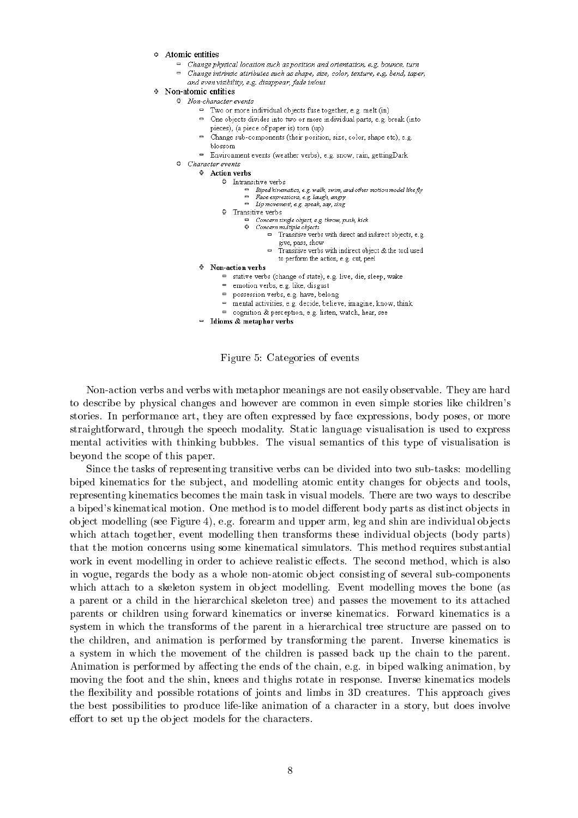- Atomic entities ረን
	- $\Xi$  Change physical location such as position and orientation, e.g. bounce, turn  $\Box$  Change intrinsic attributes such as shape, size, color, texture, e.g. bend, taper,
	- and even visibility, e.g. disappear, fade in/out
- **0** Non-atomic entities
	- Φ Non-character events
		- $\equiv$  Two or more individual objects fuse together, e.g. melt (in)
		- □ One objects divides into two or more individual parts, e.g. break (into pieces), (a piece of paper is) torn (up)
		- Change sub-components (their position, size, color, shape etc), e.g. blossom
		- = Environment events (weather verbs), e.g. snow, rain, gettingDark
	- **Q** Character events
		- ⊕ Action verbs

 $\mathbf{c}_2$ 

- **0** Intransitive verbs
	- Biped kinematics, e.g. walk, swim, and other motion model like fly
	- $\blacksquare$ Face expressions, e.g. laugh, angry = Lip movement, e.g. speak, say, sing
	- Transitive verbs
		- Concern single object, e.g. throw, push, kick  $\blacksquare$
		- ò. Concern multiple object:
			- Transitive verbs with direct and indirect objects, e.g. give, pass, show
			- $\overline{a}$ Transitive verbs with indirect object & the tool used to perform the action, e.g. cut, peel
- <sup> $\Phi$ </sup> Non-action verbs
	- = stative verbs (change of state), e.g. live, die, sleep, wake
	- e emotion verbs, e.g. like, disgust
	- $\qquad \qquad \blacksquare$ possession verbs, e.g. have, belong
	- mental activities, e.g. decide, believe, imagine, know, think
	- cognition & perception, e.g. listen, watch, hear, see
- Idioms & metaphor verbs



Non-a
tion verbs and verbs with metaphor meanings are not easily observable. They are hard to des
ribe by physi
al hanges and however are ommon in even simple stories like hildren's stories. In performan
e art, they are often expressed by fa
e expressions, body poses, or more straightforward, through the spee
h modality. Stati language visualisation is used to express mental activities with thinking bubbles. The visual semantics of this type of visualisation is beyond the s
ope of this paper.

Sin
e the tasks of representing transitive verbs an be divided into two sub-tasks: modelling biped kinematics for the subject, and modelling atomic entity changes for objects and tools, representing kinemati
s be
omes the main task in visual models. There are two ways to des
ribe a biped's kinematical motion. One method is to model different body parts as distinct objects in object modelling (see Figure 4), e.g. forearm and upper arm, leg and shin are individual objects which attach together, event modelling then transforms these individual objects (body parts) that the motion on
erns using some kinemati
al simulators. This method requires substantial work in event modelling in order to achieve realistic effects. The second method, which is also in vogue, regards the body as a whole non-atomic object consisting of several sub-components which attach to a skeleton system in object modelling. Event modelling moves the bone (as a parent or a child in the hierarchical skeleton tree) and passes the movement to its attached parents or children using forward kinematics or inverse kinematics. Forward kinematics is a system in which the transforms of the parent in a hierarchical tree structure are passed on to the children, and animation is performed by transforming the parent. Inverse kinematics is a system in which the movement of the children is passed back up the chain to the parent. Animation is performed by affecting the ends of the chain, e.g. in biped walking animation, by moving the foot and the shin, knees and thighs rotate in response. Inverse kinematics models the flexibility and possible rotations of joints and limbs in 3D creatures. This approach gives the best possibilities to produce life-like animation of a character in a story, but does involve effort to set up the object models for the characters.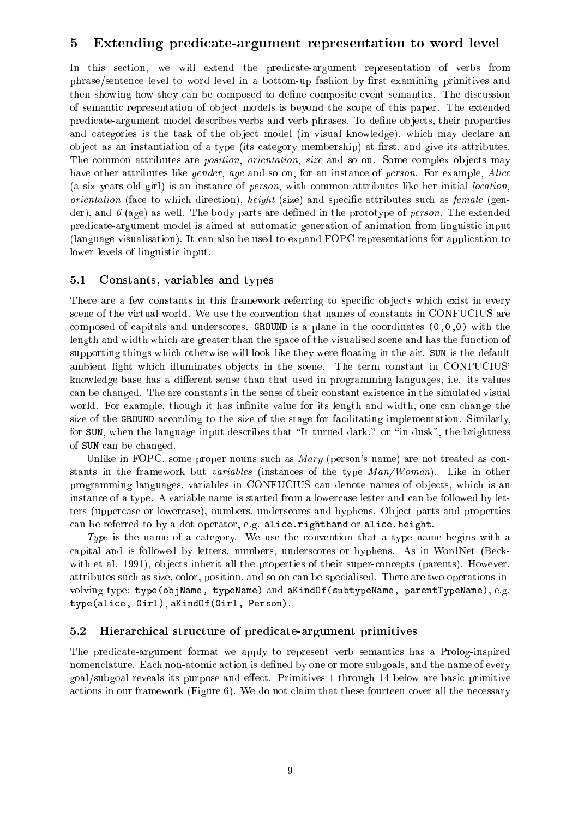### 5Extending predicate-argument representation to word level

In this section, we will extend the predicate-argument representation of verbs from phrase/sentence level to word level in a bottom-up fashion by first examining primitives and then showing how they can be composed to define composite event semantics. The discussion of semantic representation of object models is beyond the scope of this paper. The extended predicate-argument model describes verbs and verb phrases. To define objects, their properties and categories is the task of the object model (in visual knowledge), which may declare an object as an instantiation of a type (its category membership) at first, and give its attributes. The common attributes are *position, orientation, size* and so on. Some complex objects may have other attributes like *gender*, age and so on, for an instance of *person*. For example, Alice (a six years old girl) is an instance of *person*, with common attributes like her initial location, orientation (face to which direction), height (size) and specific attributes such as female (gender), and  $\delta$  (age) as well. The body parts are defined in the prototype of *person*. The extended predicate-argument model is aimed at automatic generation of animation from linguistic input (language visualisation). It can also be used to expand FOPC representations for application to lower levels of linguistic input.

#### 5.1Constants, variables and types

There are a few constants in this framework referring to specific objects which exist in every scene of the virtual world. We use the convention that names of constants in CONFUCIUS are omposed of apitals and unders
ores. GROUND is a plane in the oordinates (0,0,0) with the length and width which are greater than the space of the visualised scene and has the function of supporting things which otherwise will look like they were floating in the air. SUN is the default ambient light which illuminates objects in the scene. The term constant in CONFUCIUS' knowledge base has a different sense than that used in programming languages, i.e. its values an be hanged. The are onstants in the sense of their onstant existen
e in the simulated visual world. For example, though it has infinite value for its length and width, one can change the size of the GROUND according to the size of the stage for facilitating implementation. Similarly, for SUN, when the language input describes that "It turned dark." or "in dusk", the brightness of SUN an be hanged.

Unlike in FOPC, some proper nouns such as  $Mary$  (person's name) are not treated as constants in the framework but *variables* (instances of the type  $Man/Woman$ ). Like in other programming languages, variables in CONFUCIUS can denote names of objects, which is an instance of a type. A variable name is started from a lowercase letter and can be followed by letters (uppercase or lowercase), numbers, underscores and hyphens. Object parts and properties can be referred to by a dot operator, e.g. alice.righthand or alice.height.

Type is the name of a category. We use the convention that a type name begins with a apital and is followed by letters, numbers, unders
ores or hyphens. As in WordNet (Be
kwith et al. 1991), objects inherit all the properties of their super-concepts (parents). However, attributes su
h as size, olor, position, and so on an be spe
ialised. There are two operations involving type: type(objName, typeName) and aKindOf(subtypeName, parentTypeName), e.g. type(ali
e, Girl), aKindOf(Girl, Person).

#### 5.2Hierarchical structure of predicate-argument primitives

The predicate-argument format we apply to represent verb semantics has a Prolog-inspired nomenclature. Each non-atomic action is defined by one or more subgoals, and the name of every goal/subgoal reveals its purpose and effect. Primitives 1 through 14 below are basic primitive actions in our framework (Figure 6). We do not claim that these fourteen cover all the necessary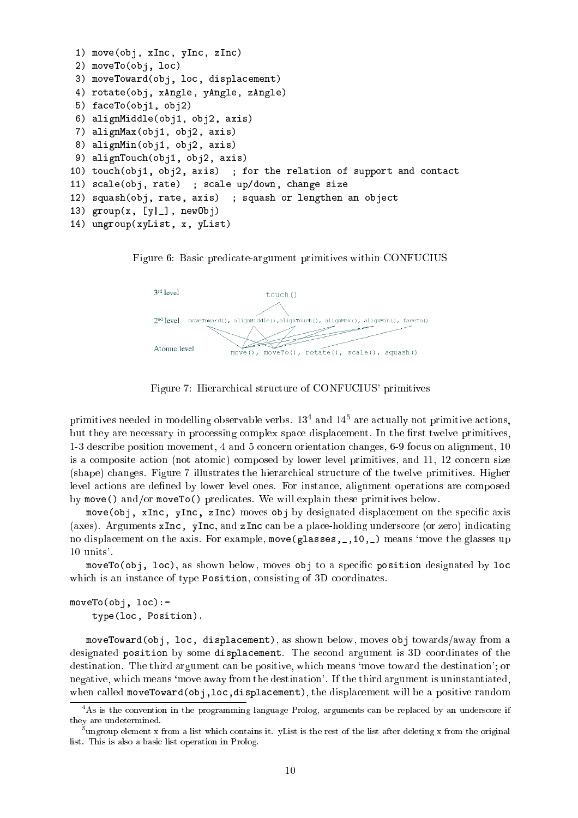```
1) move (obj, xInc, yInc, zInc)
 2) moveTo(obj, lo
)
 3) moveToward(obj, lo
, displa
ement)
 4) rotate(obj, xAngle, yAngle, zAngle)
 5) fa
eTo(obj1, obj2)
 6) alignMiddle(obj1, obj2, axis)
 7) alignMax(obj1, obj2, axis)
 8) alignMin(obj1, obj2, axis)
 9) alignTou
h(obj1, obj2, axis)
10) touch(obj1, obj2, axis) ; for the relation of support and contact
11) s
ale(obj, rate) ; s
ale up/down, 
hange size
12) squash(obj, rate, axis) ; squash or lengthen an obje
t
13) group(x, [y|_], newObj)14) ungroup(xyList, x, yList)
```
Figure 6: Basic predicate-argument primitives within CONFUCIUS



Figure 7: Hierarchical structure of CONFUCIUS' primitives

primitives needed in modelling observable verbs. To tand 14t are actually not primitive actions, but they are necessary in processing complex space displacement. In the first twelve primitives, 1-3 des
ribe position movement, 4 and 5 on
ern orientation hanges, 6-9 fo
us on alignment, 10 is a composite action (not atomic) composed by lower level primitives, and 11, 12 concern size (shape) changes. Figure 7 illustrates the hierarchical structure of the twelve primitives. Higher level actions are defined by lower level ones. For instance, alignment operations are composed by move () and/or moveTo() predicates. We will explain these primitives below.

move (obj, xInc, yInc, zInc) moves obj by designated displacement on the specific axis (axes). Arguments xInc, yInc, and zInc can be a place-holding underscore (or zero) indicating no displacement on the axis. For example, move (glasses,  $\ldots$ , 10,  $\ldots$ ) means 'move the glasses up 10 units'.

moveTo(obj, loc), as shown below, moves obj to a specific position designated by loc which is an instance of type Position, consisting of 3D coordinates.

```
moveTo(obj, lo
):-
    type(lo
, Position).
```
moveToward(obj, loc, displacement), as shown below, moves obj towards/away from a designated position by some displacement. The second argument is 3D coordinates of the destination. The third argument can be positive, which means 'move toward the destination'; or negative, which means 'move away from the destination'. If the third argument is uninstantiated, when called moveToward(obj,loc, displacement), the displacement will be a positive random

As is the convention in the programming language Prolog, arguments can be replaced by an underscore if they are undetermined.

<sup>5</sup> ungroup element x from a list whi
h ontains it. yList is the rest of the list after deleting x from the original list. This is also a basic list operation in Prolog.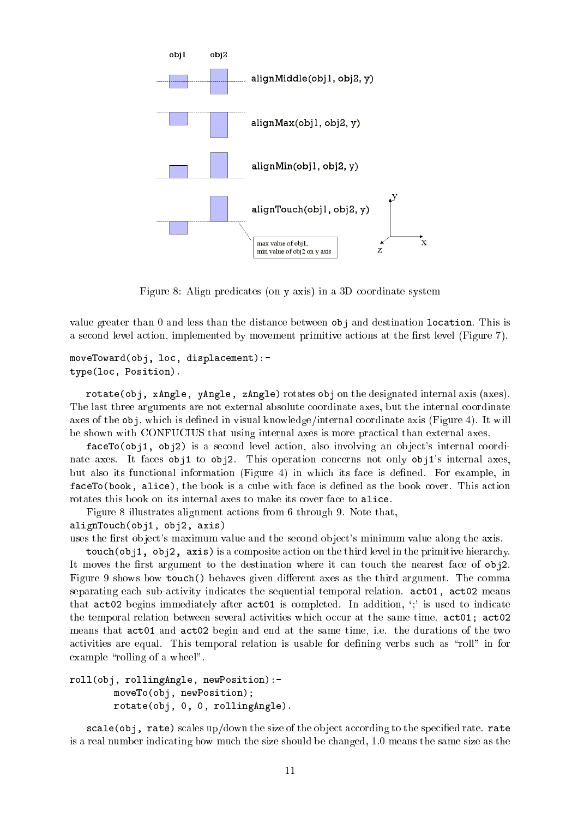

Figure 8: Align predicates (on y axis) in a 3D coordinate system

value greater than 0 and less than the distance between obj and destination location. This is a second level action, implemented by movement primitive actions at the first level (Figure 7).

```
moveToward(obj, loc, displacement):-
type(lo
, Position).
```
rotate(obj, xAngle, yAngle, zAngle) rotates obj on the designated internal axis (axes). The last three arguments are not external absolute oordinate axes, but the internal oordinate axes of the obj, which is defined in visual knowledge/internal coordinate axis (Figure 4). It will be shown with CONFUCIUS that using internal axes is more practical than external axes.

faceTo(obj1, obj2) is a second level action, also involving an object's internal coordinate axes. It faces obj1 to obj2. This operation concerns not only obj1's internal axes, but also its functional information (Figure 4) in which its face is defined. For example, in faceTo(book, alice), the book is a cube with face is defined as the book cover. This action rotates this book on its internal axes to make its cover face to alice.

Figure 8 illustrates alignment actions from 6 through 9. Note that,

```
alignTou
h(obj1, obj2, axis)
```
uses the first object's maximum value and the second object's minimum value along the axis.

touch(obj1, obj2, axis) is a composite action on the third level in the primitive hierarchy. It moves the first argument to the destination where it can touch the nearest face of  $obj2$ . Figure 9 shows how touch() behaves given different axes as the third argument. The comma separating each sub-activity indicates the sequential temporal relation.  $act01$ ,  $act02$  means that act02 begins immediately after act01 is completed. In addition,  $\ddots$  is used to indicate the temporal relation between several activities which occur at the same time. act01; act02 means that  $act01$  and  $act02$  begin and end at the same time, i.e. the durations of the two activities are equal. This temporal relation is usable for defining verbs such as "roll" in for example "rolling of a wheel".

```
roll(obj, rollingAngle, newPosition):-
        moveTo(obj, newPosition);
        rotate(obj, 0, 0, rollingAngle).
```
scale (obj, rate) scales up/down the size of the object according to the specified rate. rate is a real number indicating how much the size should be changed, 1.0 means the same size as the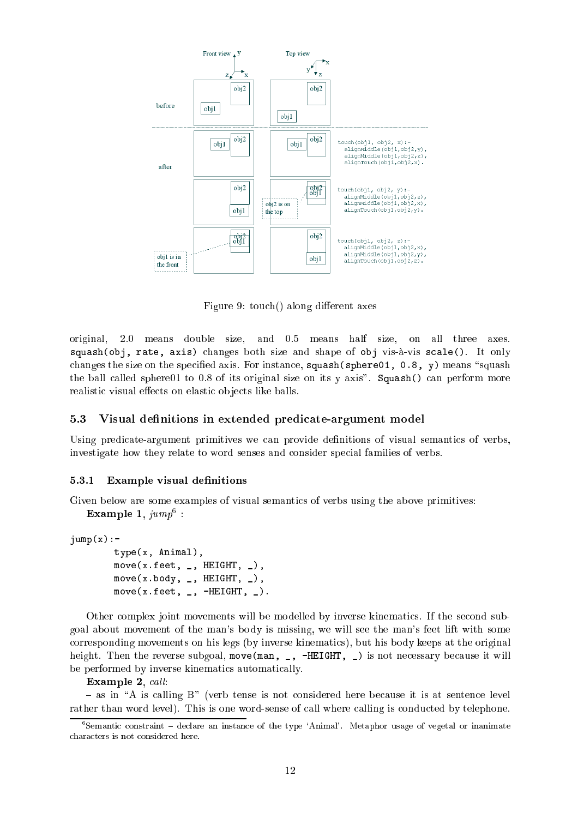

Figure 9: touch() along different axes

original, 2.0 means double size, and 0.5 means half size, on all three axes. squash(obj, rate, axis) changes both size and shape of obj vis-à-vis scale(). It only changes the size on the specified axis. For instance,  $square(1, 0.8, y)$  means "squash" the ball called sphere01 to 0.8 of its original size on its y axis". Squash() can perform more realistic visual effects on elastic objects like balls.

#### 5.3Visual definitions in extended predicate-argument model

Using predicate-argument primitives we can provide definitions of visual semantics of verbs, investigate how they relate to word senses and onsider spe
ial families of verbs.

### 5.3.1 Example visual definitions

Given below are some examples of visual semantics of verbs using the above primitives:

```
\textbf{Example 1}, \textit{pump}:
```

```
jump(x):type(x, Animal),
        move (x.feet, , , HEIGHT, , ),
        move(x.body, _, HEIGHT, _),
        move (x.feet, -, -HEIGHT, -).
```
Other complex joint movements will be modelled by inverse kinematics. If the second subgoal about movement of the man's body is missing, we will see the man's feet lift with some orresponding movements on his legs (by inverse kinemati
s), but his body keeps at the original height. Then the reverse subgoal, move (man, \_, -HEIGHT, \_) is not necessary because it will be performed by inverse kinematics automatically.

Example 2, call:

- as in "A is calling B" (verb tense is not considered here because it is at sentence level rather than word level). This is one word-sense of call where calling is conducted by telephone.

 $\degree$ Semantic constraint – declare an instance of the type 'Animal'. Metaphor usage of vegetal or inanimate hara
ters is not onsidered here.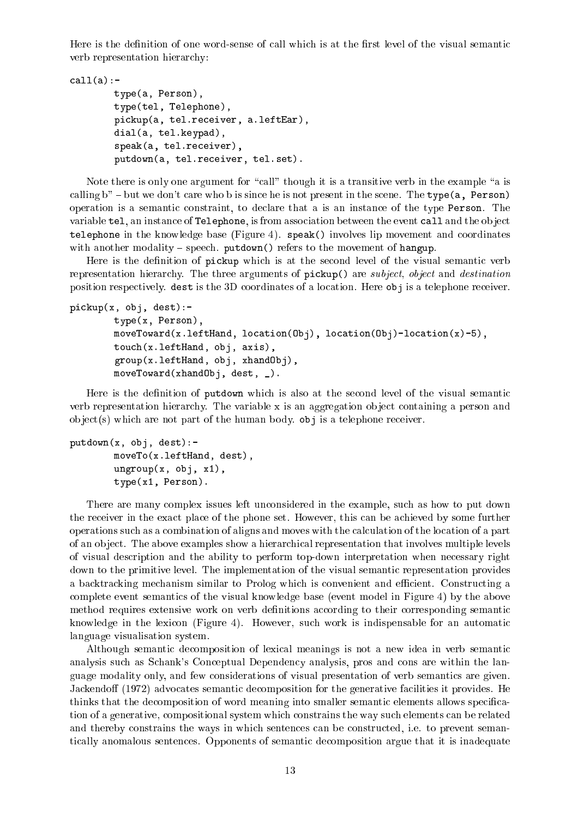Here is the definition of one word-sense of call which is at the first level of the visual semantic verb representation hierar
hy:

```
call(a):type(a, Person),
        type(tel, Telephone),
        pickup(a, tel.receiver, a.leftEar),
        dial(a, tel.keypad),
        speak(a, tel.receiver),
        putdown(a, tel.re
eiver, tel.set).
```
Note there is only one argument for "call" though it is a transitive verb in the example "a is calling  $b'' - but we don't care who b is since he is not present in the scene. The type  $(a, Person)$$ operation is a semantic constraint, to declare that a is an instance of the type Person. The variable tel, an instance of Telephone, is from association between the event call and the object telephone in the knowledge base (Figure 4).  $\mathbf{speak}$  () involves lip movement and coordinates with another modality  $-$  speech. putdown() refers to the movement of hangup.

Here is the definition of pickup which is at the second level of the visual semantic verb representation hierarchy. The three arguments of pickup() are *subject*, *object* and *destination* position respectively. dest is the 3D coordinates of a location. Here  $obj$  is a telephone receiver.

```
pi
kup(x, obj, dest):-
        type(x, Person),
        moveToward(x.leftHand, location(Obj), location(Obj)-location(x)-5),
        tou
h(x.leftHand, obj, axis),
        group(x.leftHand, obj, xhandObj),
        moveToward(xhandObj, dest, _).
```
Here is the definition of putdown which is also at the second level of the visual semantic verb representation hierarchy. The variable x is an aggregation object containing a person and  $object(s)$  which are not part of the human body.  $obj$  is a telephone receiver.

```
putdown(x, obj, dest):-
        moveTo(x.leftHand, dest),
        ungroup(x, obj, x1),
        type(x1, Person).
```
There are many complex issues left unconsidered in the example, such as how to put down the re
eiver in the exa
t pla
e of the phone set. However, this an be a
hieved by some further operations su
h as a ombination of aligns and moves with the al
ulation of the lo
ation of a part of an ob je
t. The above examples show a hierar
hi
al representation that involves multiple levels of visual des
ription and the ability to perform top-down interpretation when ne
essary right down to the primitive level. The implementation of the visual semantic representation provides a backtracking mechanism similar to Prolog which is convenient and efficient. Constructing a omplete event semanti
s of the visual knowledge base (event model in Figure 4) by the above method requires extensive work on verb definitions according to their corresponding semantic knowledge in the lexicon (Figure 4). However, such work is indispensable for an automatic language visualisation system.

Although semantic decomposition of lexical meanings is not a new idea in verb semantic analysis su
h as S
hank's Con
eptual Dependen
y analysis, pros and ons are within the language modality only, and few onsiderations of visual presentation of verb semanti
s are given. Jackendoff (1972) advocates semantic decomposition for the generative facilities it provides. He thinks that the decomposition of word meaning into smaller semantic elements allows specification of a generative, ompositional system whi
h onstrains the way su
h elements an be related and thereby constrains the ways in which sentences can be constructed, i.e. to prevent semanti
ally anomalous senten
es. Opponents of semanti de
omposition argue that it is inadequate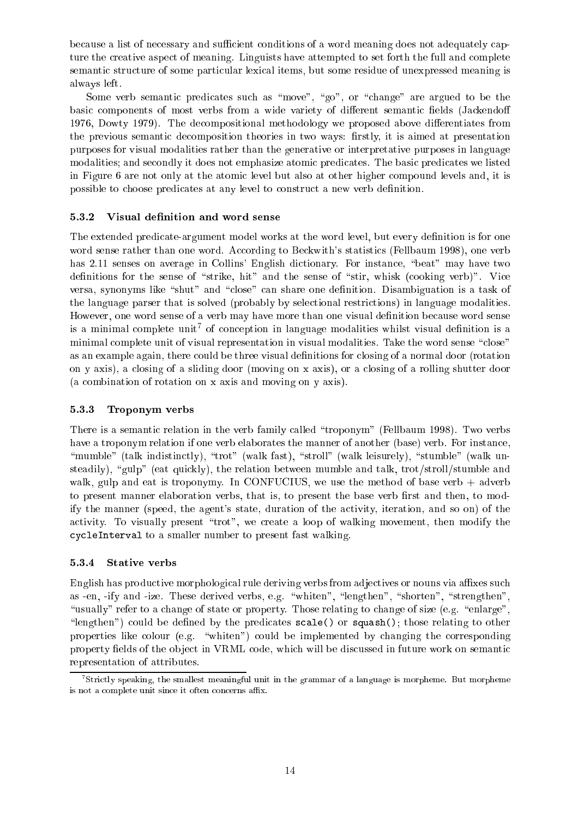because a list of necessary and sufficient conditions of a word meaning does not adequately capture the creative aspect of meaning. Linguists have attempted to set forth the full and complete semantic structure of some particular lexical items, but some residue of unexpressed meaning is always left.

Some verb semantic predicates such as "move", "go", or "change" are argued to be the basic components of most verbs from a wide variety of different semantic fields (Jackendoff 1976, Dowty 1979). The decompositional methodology we proposed above differentiates from the previous semantic decomposition theories in two ways: firstly, it is aimed at presentation purposes for visual modalities rather than the generative or interpretative purposes in language modalities; and secondly it does not emphasize atomic predicates. The basic predicates we listed in Figure 6 are not only at the atomic level but also at other higher compound levels and, it is possible to hoose predi
ates at any level to onstru
t a new verb denition.

### 5.3.2 Visual definition and word sense

The extended predicate-argument model works at the word level, but every definition is for one word sense rather than one word. According to Beckwith's statistics (Fellbaum 1998), one verb has 2.11 senses on average in Collins' English dictionary. For instance, "beat" may have two definitions for the sense of "strike, hit" and the sense of "stir, whisk (cooking verb)". Vice versa, synonyms like "shut" and "close" can share one definition. Disambiguation is a task of the language parser that is solved (probably by sele
tional restri
tions) in language modalities. However, one word sense of a verb may have more than one visual definition because word sense is a minimal complete unit tol conception in language modalities whilst visual definition is a minimal complete unit of visual representation in visual modalities. Take the word sense "close" as an example again, there could be three visual definitions for closing of a normal door (rotation on y axis), a closing of a sliding door (moving on x axis), or a closing of a rolling shutter door (a ombination of rotation on x axis and moving on y axis).

### 5.3.3 Troponym verbs

There is a semantic relation in the verb family called "troponym" (Fellbaum 1998). Two verbs have a troponym relation if one verb elaborates the manner of another (base) verb. For instance, "mumble" (talk indistinctly), "trot" (walk fast), "stroll" (walk leisurely), "stumble" (walk unsteadily), "gulp" (eat quickly), the relation between mumble and talk, trot/stroll/stumble and walk, gulp and eat is troponymy. In CONFUCIUS, we use the method of base verb + adverb to present manner elaboration verbs, that is, to present the base verb first and then, to modif if the manner (speed, the agent's state, duration of the activity, iteration, and so on) of the activity. To visually present "trot", we create a loop of walking movement, then modify the cycleInterval to a smaller number to present fast walking.

### 5.3.4 Stative verbs

English has productive morphological rule deriving verbs from adjectives or nouns via affixes such as -en, -ify and -ize. These derived verbs, e.g. "whiten", "lengthen", "shorten", "strengthen", "usually" refer to a change of state or property. Those relating to change of size (e.g. "enlarge", "lengthen") could be defined by the predicates scale () or squash(); those relating to other properties like colour (e.g. "whiten") could be implemented by changing the corresponding property fields of the object in VRML code, which will be discussed in future work on semantic representation of attributes.

<sup>&</sup>quot;Strictly speaking, the smallest meaningful unit in the grammar of a language is morpheme. But morpheme is not a complete unit since it often concerns affix.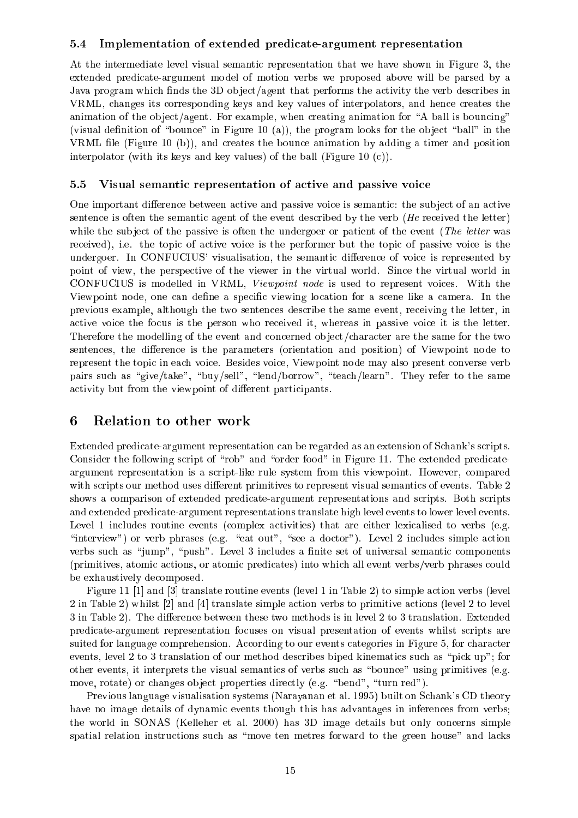#### 5.4Implementation of extended predicate-argument representation

At the intermediate level visual semantic representation that we have shown in Figure 3, the extended predi
ate-argument model of motion verbs we proposed above will be parsed by a Java program which finds the 3D object/agent that performs the activity the verb describes in VRML, changes its corresponding keys and key values of interpolators, and hence creates the animation of the object/agent. For example, when creating animation for "A ball is bouncing" (visual definition of "bounce" in Figure 10 (a)), the program looks for the object "ball" in the VRML file (Figure 10 (b)), and creates the bounce animation by adding a timer and position interpolator (with its keys and key values) of the ball (Figure 10  $(c)$ ).

#### 5.5Visual semantic representation of active and passive voice

One important difference between active and passive voice is semantic: the subject of an active sentence is often the semantic agent of the event described by the verb (He received the letter) while the subject of the passive is often the undergoer or patient of the event (The letter was received), i.e. the topic of active voice is the performer but the topic of passive voice is the undergoer. In CONFUCIUS' visualisation, the semantic difference of voice is represented by point of view, the perspe
tive of the viewer in the virtual world. Sin
e the virtual world in CONFUCIUS is modelled in VRML, Viewpoint node is used to represent voi
es. With the Viewpoint node, one can define a specific viewing location for a scene like a camera. In the previous example, although the two senten
es des
ribe the same event, re
eiving the letter, in active voice the focus is the person who received it, whereas in passive voice it is the letter. Therefore the modelling of the event and concerned object/character are the same for the two sentences, the difference is the parameters (orientation and position) of Viewpoint node to represent the topic in each voice. Besides voice, Viewpoint node may also present converse verb pairs such as "give/take", "buy/sell", "lend/borrow", "teach/learn". They refer to the same activity but from the viewpoint of different participants.

#### 6Relation to other work

Extended predicate-argument representation can be regarded as an extension of Schank's scripts. Consider the following script of "rob" and "order food" in Figure 11. The extended predicateargument representation is a s
ript-like rule system from this viewpoint. However, ompared with scripts our method uses different primitives to represent visual semantics of events. Table 2 shows a comparison of extended predicate-argument representations and scripts. Both scripts and extended predi
ate-argument representations translate high level events to lower level events. Level 1 includes routine events (complex activities) that are either lexicalised to verbs (e.g. "interview") or verb phrases (e.g. "eat out", "see a doctor"). Level 2 includes simple action verbs such as "jump", "push". Level 3 includes a finite set of universal semantic components (primitives, atomic actions, or atomic predicates) into which all event verbs/verb phrases could be exhaustively de
omposed.

Figure 11  $[1]$  and  $[3]$  translate routine events (level 1 in Table 2) to simple action verbs (level  $2$  in Table 2) whilst  $[2]$  and  $[4]$  translate simple action verbs to primitive actions (level 2 to level 3 in Table 2). The difference between these two methods is in level 2 to 3 translation. Extended predi
ate-argument representation fo
uses on visual presentation of events whilst s
ripts are suited for language comprehension. According to our events categories in Figure 5, for character events, level 2 to 3 translation of our method describes biped kinematics such as "pick up"; for other events, it interprets the visual semantics of verbs such as "bounce" using primitives (e.g. move, rotate) or changes object properties directly (e.g. "bend", "turn red").

Previous language visualisation systems (Narayanan et al. 1995) built on S
hank's CD theory have no image details of dynamic events though this has advantages in inferences from verbs; the world in SONAS (Kelleher et al. 2000) has 3D image details but only on
erns simple spatial relation instructions such as "move ten metres forward to the green house" and lacks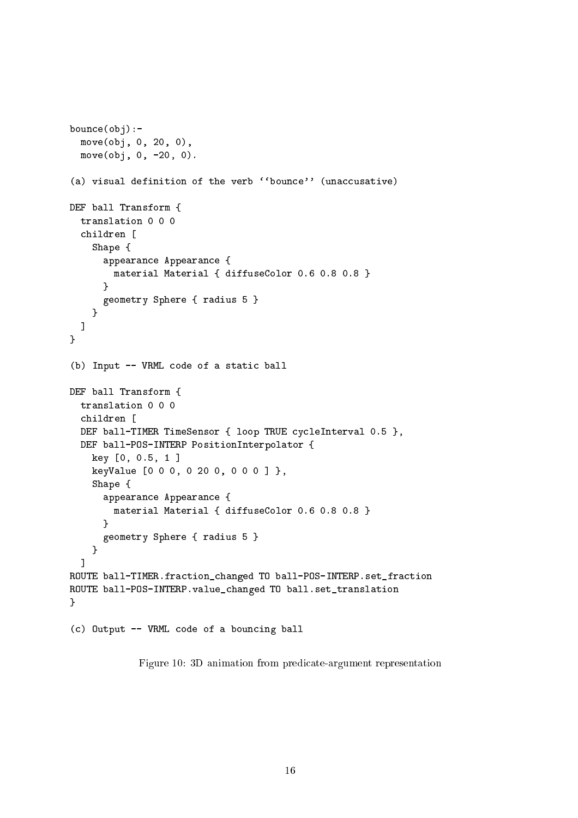```
boun
e(obj):-
  move(obj, 0, 20, 0),
 move(obj, 0, -20, 0).
(a) visual definition of the verb ''bounce'' (unaccusative)
DEF ball Transform {
  translation 0 0 0

hildren [
    Shape {
      appearan
e Appearan
e {
        material Material { diffuseColor 0.6 0.8 0.8 }
      \mathbf{L}}
      geometry Sphere { radius 5 }
    }
 \overline{1}\mathbf{r}}
(b) Input -- VRML code of a static ball
DEF ball Transform {
  translation 0 0 0
  children [
 DEF ball-TIMER TimeSensor { loop TRUE cycleInterval 0.5 },
 DEF ball-POS-INTERP PositionInterpolator {
    key [0, 0.5, 1]keyValue [0 0 0, 0 20 0, 0 0 0 ],
    Shape {
      appearan
e Appearan
e {
        material Material { diffuseColor 0.6 0.8 0.8 }
      \mathbf{r}}
      geometry Sphere { radius 5 }
    }
  -1
  ℄
ROUTE ball-TIMER.fraction_changed TO ball-POS-INTERP.set_fraction
ROUTE ball-POS-INTERP.value_
hanged TO ball.set_translation
}
(
) Output -- VRML 
ode of a boun
ing ball
```
Figure 10: 3D animation from predicate-argument representation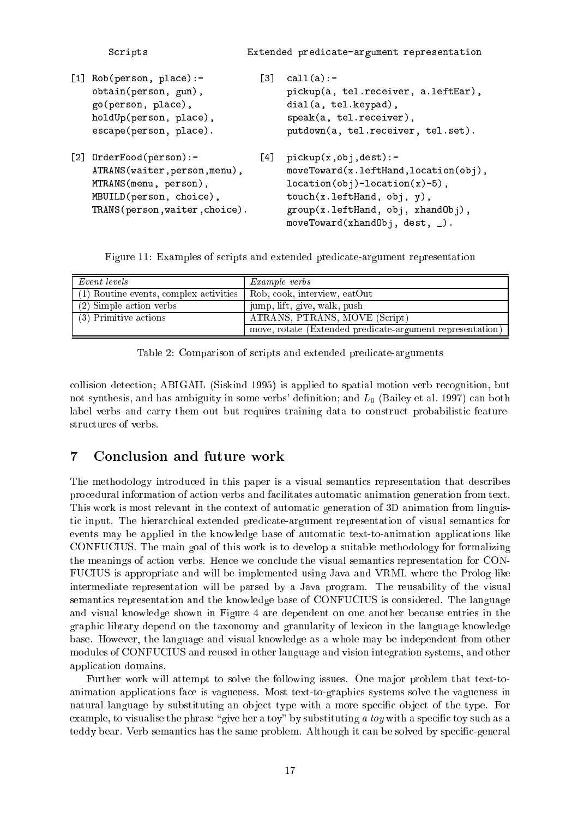| Scripts                                                                                                                                           |            | Extended predicate-argument representation                                                                                                                                                                              |
|---------------------------------------------------------------------------------------------------------------------------------------------------|------------|-------------------------------------------------------------------------------------------------------------------------------------------------------------------------------------------------------------------------|
| [1] Rob(person, place):-<br>obtain(person, gun),<br>go(person, place),<br>holdUp(person, place),<br>escape(person, place).                        | T31.       | cal1(a):<br>pickup(a, tel.receiver, a.leftEar),<br>dial(a, tel.keypad),<br>speak(a, tel.receiver),<br>putdown(a, tel.receiver, tel.set).                                                                                |
| $[2]$ OrderFood(person):-<br>ATRANS (waiter, person, menu),<br>MTRANS(menu, person),<br>MBUILD(person, choice),<br>TRANS(person, waiter, choice). | <b>141</b> | $picture(x, obj, dest) :-$<br>$move Toward(x.leftHand, location(obj),$<br>$location(obj)-location(x)-5)$ ,<br>touch(x. left) and, obj, y),<br>group(x.leftHand, obj, xhandObj),<br>moveToward(xhandObj, dest, $_{-}$ ). |

|  |  | Figure 11: Examples of scripts and extended predicate-argument representation |
|--|--|-------------------------------------------------------------------------------|
|  |  |                                                                               |

| Event levels                             | <i>Example verbs</i>                                      |  |  |
|------------------------------------------|-----------------------------------------------------------|--|--|
| $(1)$ Routine events, complex activities | Rob, cook, interview, eatOut                              |  |  |
| $(2)$ Simple action verbs                | jump, lift, give, walk, push                              |  |  |
| (3) Primitive actions                    | ATRANS, PTRANS, MOVE (Script)                             |  |  |
|                                          | move, rotate (Extended predicate-argument representation) |  |  |

collision detection; ABIGAIL (Siskind 1995) is applied to spatial motion verb recognition, but not synthesis, and has ambiguity in some verbs' definition; and  $L_0$  (Bailey et al. 1997) can both label verbs and carry them out but requires training data to construct probabilistic feature structures of verbs.

## Con
lusion and future work

The methodology introduced in this paper is a visual semantics representation that describes pro
edural information of a
tion verbs and fa
ilitates automati animation generation from text. This work is most relevant in the context of automatic generation of 3D animation from linguistic input. The hierarchical extended predicate-argument representation of visual semantics for events may be applied in the knowledge base of automatic text-to-animation applications like CONFUCIUS. The main goal of this work is to develop a suitable methodology for formalizing the meanings of action verbs. Hence we conclude the visual semantics representation for CON-FUCIUS is appropriate and will be implemented using Java and VRML where the Prolog-like intermediate representation will be parsed by a Java program. The reusability of the visual semantics representation and the knowledge base of CONFUCIUS is considered. The language and visual knowledge shown in Figure 4 are dependent on one another be
ause entries in the graphi library depend on the taxonomy and granularity of lexi
on in the language knowledge base. However, the language and visual knowledge as a whole may be independent from other modules of CONFUCIUS and reused in other language and vision integration systems, and other application domains.

Further work will attempt to solve the following issues. One major problem that text-toanimation applications face is vagueness. Most text-to-graphics systems solve the vagueness in natural language by substituting an object type with a more specific object of the type. For example, to visualise the phrase "give her a toy" by substituting a toy with a specific toy such as a teddy bear. Verb semantics has the same problem. Although it can be solved by specific-general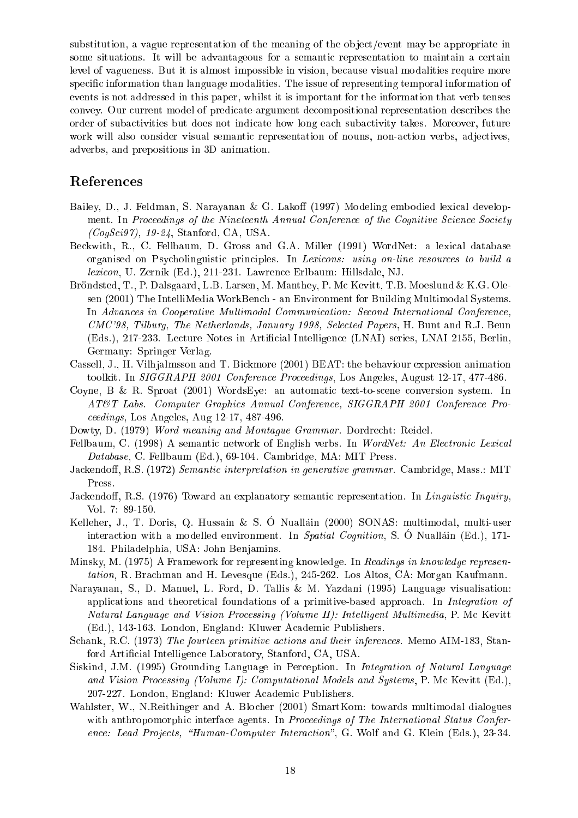substitution, a vague representation of the meaning of the object/event may be appropriate in some situations. It will be advantageous for a semantic representation to maintain a certain level of vagueness. But it is almost impossible in vision, be
ause visual modalities require more specific information than language modalities. The issue of representing temporal information of events is not addressed in this paper, whilst it is important for the information that verb tenses onvey. Our urrent model of predi
ate-argument de
ompositional representation des
ribes the order of suba
tivities but does not indi
ate how long ea
h suba
tivity takes. Moreover, future work will also consider visual semantic representation of nouns, non-action verbs, adjectives, adverbs, and prepositions in 3D animation.

- Bailey, D., J. Feldman, S. Narayanan & G. Lakoff (1997) Modeling embodied lexical development. In Proceedings of the Nineteenth Annual Conference of the Cognitive Science Society (CogS
i97), 19-24, Stanford, CA, USA.
- Beckwith, R., C. Fellbaum, D. Gross and G.A. Miller (1991) WordNet: a lexical database organised on Psycholinguistic principles. In Lexicons: using on-line resources to build a lexi
on, U. Zernik (Ed.), 211-231. Lawren
e Erlbaum: Hillsdale, NJ.
- Bröndsted, T., P. Dalsgaard, L.B. Larsen, M. Manthey, P. Mc Kevitt, T.B. Moeslund & K.G. Olesen (2001) The IntelliMedia WorkBen
h - an Environment for Building Multimodal Systems. In Advances in Cooperative Multimodal Communication: Second International Conference, CMC'98, Tilburg, The Netherlands, January 1998, Sele
ted Papers, H. Bunt and R.J. Beun (Eds.), 217-233. Le
ture Notes in Arti
ial Intelligen
e (LNAI) series, LNAI 2155, Berlin, Germany: Springer Verlag.
- Cassell, J., H. Vilhjalmsson and T. Bi
kmore (2001) BEAT: the behaviour expression animation toolkit. In SIGGRAPH 2001 Conference Proceedings, Los Angeles, August 12-17, 477-486.
- Coyne, B & R. Sproat  $(2001)$  WordsEye: an automatic text-to-scene conversion system. In AT&T Labs. Computer Graphi
s Annual Conferen
e, SIGGRAPH 2001 Conferen
e Pro eedings, Los Angeles, Aug 12-17, 487-496.
- Dowty, D. (1979) Word meaning and Montague Grammar. Dordrecht: Reidel.
- Fellbaum, C. (1998) A semantic network of English verbs. In WordNet: An Electronic Lexical Database, C. Fellbaum (Ed.), 69-104. Cambridge, MA: MIT Press.
- Jackendoff, R.S. (1972) Semantic interpretation in generative grammar. Cambridge, Mass.: MIT Press.
- Jackendoff, R.S. (1976) Toward an explanatory semantic representation. In *Linguistic Inquiry*, Vol. 7: 89-150.
- Kelleher, J., T. Doris, Q. Hussain & S. Ó Nualláin (2000) SONAS: multimodal, multi-user interaction with a modelled environment. In Spatial Cognition, S. Ó Nualláin (Ed.), 171-184. Philadelphia, USA: John Benjamins.
- Minsky, M. (1975) A Framework for representing knowledge. In Readings in knowledge representation, R. Bra
hman and H. Levesque (Eds.), 245-262. Los Altos, CA: Morgan Kaufmann.
- Narayanan, S., D. Manuel, L. Ford, D. Tallis & M. Yazdani (1995) Language visualisation: applications and theoretical foundations of a primitive-based approach. In Integration of Natural Language and Vision Processing (Volume II): Intelligent Multimedia, P. Mc Kevitt (Ed.), 143-163. London, England: Kluwer A
ademi Publishers.
- Schank, R.C. (1973) The fourteen primitive actions and their inferences. Memo AIM-183, Stanford Arti
ial Intelligen
e Laboratory, Stanford, CA, USA.
- Siskind, J.M. (1995) Grounding Language in Per
eption. In Integration of Natural Language and Vision Processing (Volume I): Computational Models and Systems, P. Mc Kevitt (Ed.), 207-227. London, England: Kluwer A
ademi Publishers.
- Wahlster, W., N.Reithinger and A. Blo
her (2001) SmartKom: towards multimodal dialogues with anthropomorphic interface agents. In *Proceedings of The International Status Confer*ence: Lead Projects, "Human-Computer Interaction", G. Wolf and G. Klein (Eds.), 23-34.